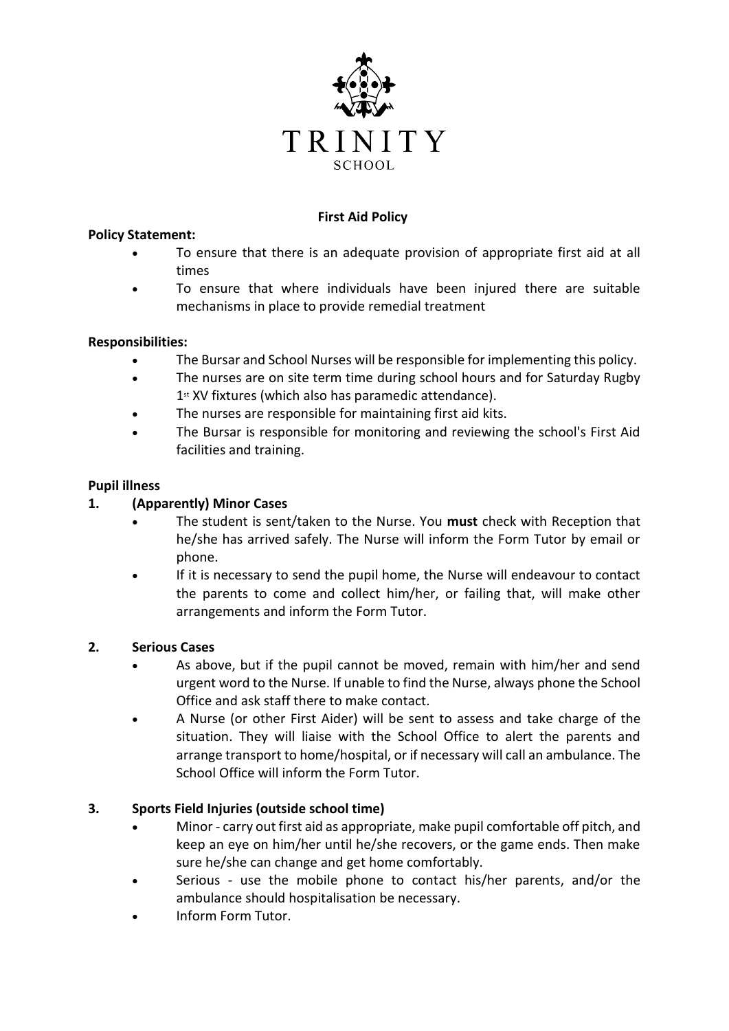

# **First Aid Policy**

#### **Policy Statement:**

- To ensure that there is an adequate provision of appropriate first aid at all times
- To ensure that where individuals have been injured there are suitable mechanisms in place to provide remedial treatment

### **Responsibilities:**

- The Bursar and School Nurses will be responsible for implementing this policy.
- The nurses are on site term time during school hours and for Saturday Rugby 1<sup>st</sup> XV fixtures (which also has paramedic attendance).
- The nurses are responsible for maintaining first aid kits.
- The Bursar is responsible for monitoring and reviewing the school's First Aid facilities and training.

### **Pupil illness**

## **1. (Apparently) Minor Cases**

- The student is sent/taken to the Nurse. You **must** check with Reception that he/she has arrived safely. The Nurse will inform the Form Tutor by email or phone.
- If it is necessary to send the pupil home, the Nurse will endeavour to contact the parents to come and collect him/her, or failing that, will make other arrangements and inform the Form Tutor.

#### **2. Serious Cases**

- As above, but if the pupil cannot be moved, remain with him/her and send urgent word to the Nurse. If unable to find the Nurse, always phone the School Office and ask staff there to make contact.
- A Nurse (or other First Aider) will be sent to assess and take charge of the situation. They will liaise with the School Office to alert the parents and arrange transport to home/hospital, or if necessary will call an ambulance. The School Office will inform the Form Tutor.

## **3. Sports Field Injuries (outside school time)**

- Minor carry out first aid as appropriate, make pupil comfortable off pitch, and keep an eye on him/her until he/she recovers, or the game ends. Then make sure he/she can change and get home comfortably.
- Serious use the mobile phone to contact his/her parents, and/or the ambulance should hospitalisation be necessary.
- Inform Form Tutor.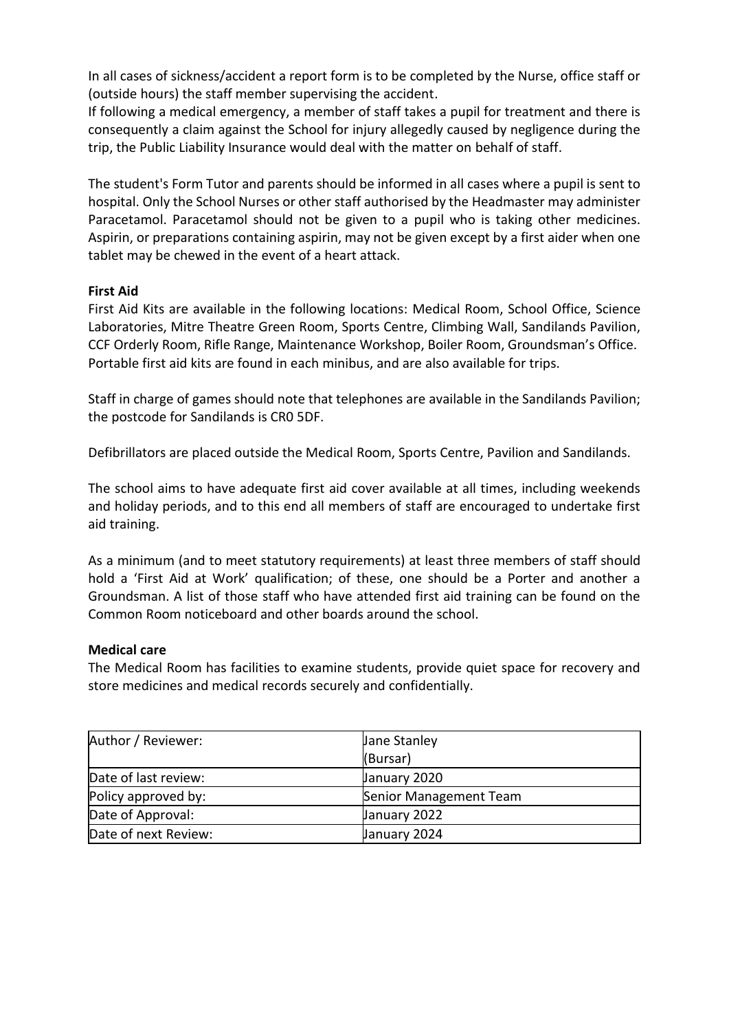In all cases of sickness/accident a report form is to be completed by the Nurse, office staff or (outside hours) the staff member supervising the accident.

If following a medical emergency, a member of staff takes a pupil for treatment and there is consequently a claim against the School for injury allegedly caused by negligence during the trip, the Public Liability Insurance would deal with the matter on behalf of staff.

The student's Form Tutor and parents should be informed in all cases where a pupil is sent to hospital. Only the School Nurses or other staff authorised by the Headmaster may administer Paracetamol. Paracetamol should not be given to a pupil who is taking other medicines. Aspirin, or preparations containing aspirin, may not be given except by a first aider when one tablet may be chewed in the event of a heart attack.

### **First Aid**

First Aid Kits are available in the following locations: Medical Room, School Office, Science Laboratories, Mitre Theatre Green Room, Sports Centre, Climbing Wall, Sandilands Pavilion, CCF Orderly Room, Rifle Range, Maintenance Workshop, Boiler Room, Groundsman's Office. Portable first aid kits are found in each minibus, and are also available for trips.

Staff in charge of games should note that telephones are available in the Sandilands Pavilion; the postcode for Sandilands is CR0 5DF.

Defibrillators are placed outside the Medical Room, Sports Centre, Pavilion and Sandilands.

The school aims to have adequate first aid cover available at all times, including weekends and holiday periods, and to this end all members of staff are encouraged to undertake first aid training.

As a minimum (and to meet statutory requirements) at least three members of staff should hold a 'First Aid at Work' qualification; of these, one should be a Porter and another a Groundsman. A list of those staff who have attended first aid training can be found on the Common Room noticeboard and other boards around the school.

#### **Medical care**

The Medical Room has facilities to examine students, provide quiet space for recovery and store medicines and medical records securely and confidentially.

| Author / Reviewer:   | Jane Stanley           |
|----------------------|------------------------|
|                      | (Bursar)               |
| Date of last review: | January 2020           |
| Policy approved by:  | Senior Management Team |
| Date of Approval:    | January 2022           |
| Date of next Review: | January 2024           |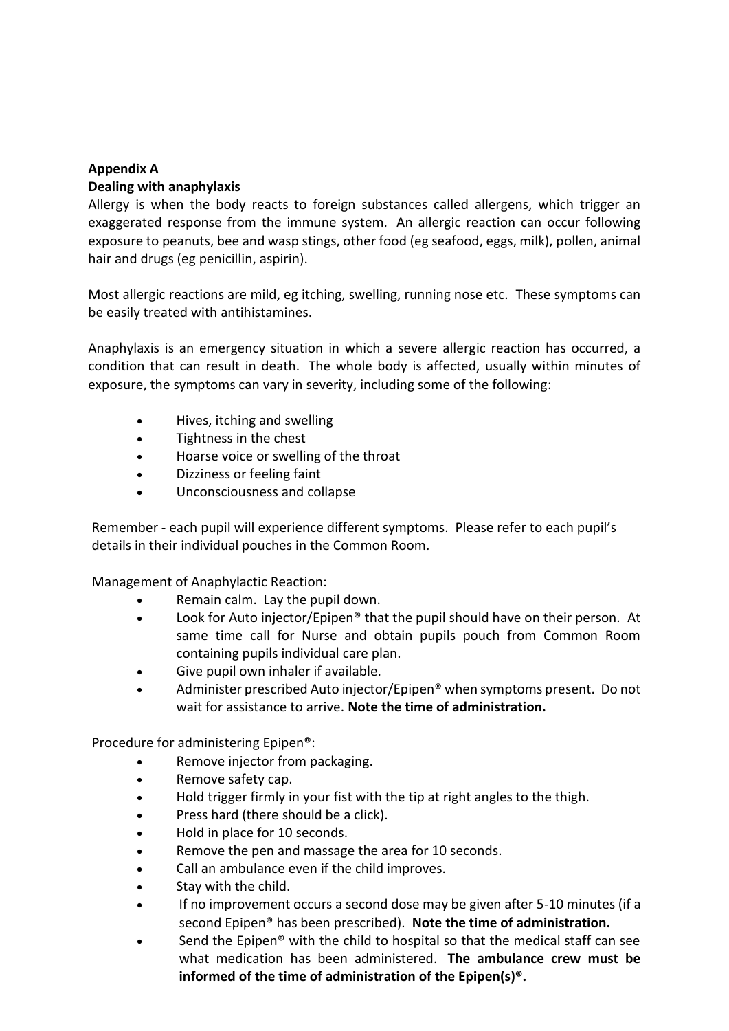### **Appendix A**

#### **Dealing with anaphylaxis**

Allergy is when the body reacts to foreign substances called allergens, which trigger an exaggerated response from the immune system. An allergic reaction can occur following exposure to peanuts, bee and wasp stings, other food (eg seafood, eggs, milk), pollen, animal hair and drugs (eg penicillin, aspirin).

Most allergic reactions are mild, eg itching, swelling, running nose etc. These symptoms can be easily treated with antihistamines.

Anaphylaxis is an emergency situation in which a severe allergic reaction has occurred, a condition that can result in death. The whole body is affected, usually within minutes of exposure, the symptoms can vary in severity, including some of the following:

- Hives, itching and swelling
- Tightness in the chest
- Hoarse voice or swelling of the throat
- Dizziness or feeling faint
- Unconsciousness and collapse

Remember - each pupil will experience different symptoms. Please refer to each pupil's details in their individual pouches in the Common Room.

Management of Anaphylactic Reaction:

- Remain calm. Lay the pupil down.
- Look for Auto injector/Epipen® that the pupil should have on their person. At same time call for Nurse and obtain pupils pouch from Common Room containing pupils individual care plan.
- Give pupil own inhaler if available.
- Administer prescribed Auto injector/Epipen® when symptoms present. Do not wait for assistance to arrive. **Note the time of administration.**

Procedure for administering Epipen®:

- Remove injector from packaging.
- Remove safety cap.
- Hold trigger firmly in your fist with the tip at right angles to the thigh.
- Press hard (there should be a click).
- Hold in place for 10 seconds.
- Remove the pen and massage the area for 10 seconds.
- Call an ambulance even if the child improves.
- Stay with the child.
- If no improvement occurs a second dose may be given after 5-10 minutes (if a second Epipen® has been prescribed). **Note the time of administration.**
- Send the Epipen<sup>®</sup> with the child to hospital so that the medical staff can see what medication has been administered. **The ambulance crew must be informed of the time of administration of the Epipen(s)®.**